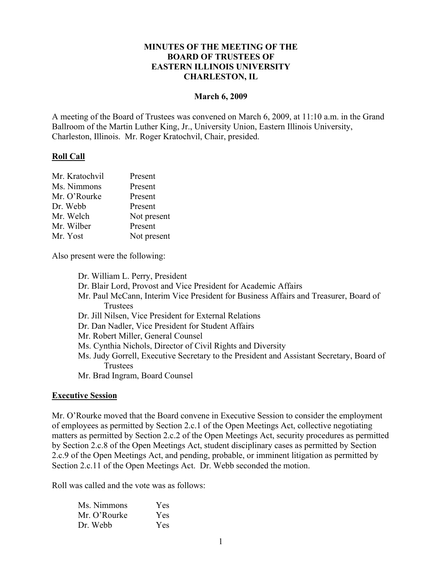### **MINUTES OF THE MEETING OF THE BOARD OF TRUSTEES OF EASTERN ILLINOIS UNIVERSITY CHARLESTON, IL**

#### **March 6, 2009**

A meeting of the Board of Trustees was convened on March 6, 2009, at 11:10 a.m. in the Grand Ballroom of the Martin Luther King, Jr., University Union, Eastern Illinois University, Charleston, Illinois. Mr. Roger Kratochvil, Chair, presided.

#### **Roll Call**

| Mr. Kratochvil | Present     |
|----------------|-------------|
| Ms. Nimmons    | Present     |
| Mr. O'Rourke   | Present     |
| Dr. Webb       | Present     |
| Mr. Welch      | Not present |
| Mr. Wilber     | Present     |
| Mr. Yost       | Not present |
|                |             |

Also present were the following:

| Dr. William L. Perry, President                                                                      |
|------------------------------------------------------------------------------------------------------|
| Dr. Blair Lord, Provost and Vice President for Academic Affairs                                      |
| Mr. Paul McCann, Interim Vice President for Business Affairs and Treasurer, Board of                 |
| Trustees                                                                                             |
| Dr. Jill Nilsen, Vice President for External Relations                                               |
| Dr. Dan Nadler, Vice President for Student Affairs                                                   |
| Mr. Robert Miller, General Counsel                                                                   |
| Ms. Cynthia Nichols, Director of Civil Rights and Diversity                                          |
| Ms. Judy Gorrell, Executive Secretary to the President and Assistant Secretary, Board of<br>Trustees |
| Mr. Brad Ingram, Board Counsel                                                                       |
|                                                                                                      |

#### **Executive Session**

Mr. O'Rourke moved that the Board convene in Executive Session to consider the employment of employees as permitted by Section 2.c.1 of the Open Meetings Act, collective negotiating matters as permitted by Section 2.c.2 of the Open Meetings Act, security procedures as permitted by Section 2.c.8 of the Open Meetings Act, student disciplinary cases as permitted by Section 2.c.9 of the Open Meetings Act, and pending, probable, or imminent litigation as permitted by Section 2.c.11 of the Open Meetings Act. Dr. Webb seconded the motion.

Roll was called and the vote was as follows:

| Ms. Nimmons  | Yes        |
|--------------|------------|
| Mr. O'Rourke | <b>Yes</b> |
| Dr. Webb     | <b>Yes</b> |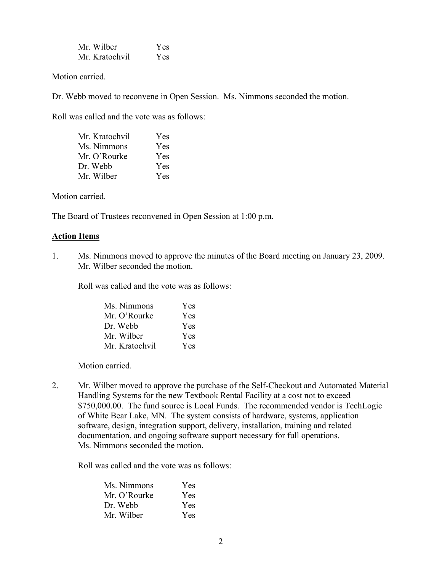| Mr. Wilber     | Yes |
|----------------|-----|
| Mr. Kratochvil | Yes |

Motion carried.

Dr. Webb moved to reconvene in Open Session. Ms. Nimmons seconded the motion.

Roll was called and the vote was as follows:

| Mr. Kratochvil | Yes |
|----------------|-----|
| Ms. Nimmons    | Yes |
| Mr. O'Rourke   | Yes |
| Dr. Webb       | Yes |
| Mr. Wilber     | Yes |

Motion carried.

The Board of Trustees reconvened in Open Session at 1:00 p.m.

#### **Action Items**

1. Ms. Nimmons moved to approve the minutes of the Board meeting on January 23, 2009. Mr. Wilber seconded the motion.

Roll was called and the vote was as follows:

| Ms. Nimmons    | Yes |
|----------------|-----|
| Mr. O'Rourke   | Yes |
| Dr. Webb       | Yes |
| Mr. Wilber     | Yes |
| Mr. Kratochvil | Yes |

Motion carried.

2. Mr. Wilber moved to approve the purchase of the Self-Checkout and Automated Material Handling Systems for the new Textbook Rental Facility at a cost not to exceed \$750,000.00. The fund source is Local Funds. The recommended vendor is TechLogic of White Bear Lake, MN. The system consists of hardware, systems, application software, design, integration support, delivery, installation, training and related documentation, and ongoing software support necessary for full operations. Ms. Nimmons seconded the motion.

Roll was called and the vote was as follows:

| Ms. Nimmons  | Yes        |
|--------------|------------|
| Mr. O'Rourke | Yes        |
| Dr Webb      | Yes        |
| Mr. Wilber   | <b>Yes</b> |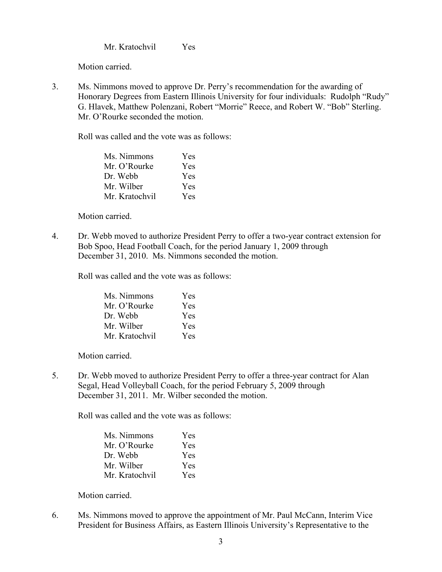Mr. Kratochvil Yes

Motion carried.

3. Ms. Nimmons moved to approve Dr. Perry's recommendation for the awarding of Honorary Degrees from Eastern Illinois University for four individuals: Rudolph "Rudy" G. Hlavek, Matthew Polenzani, Robert "Morrie" Reece, and Robert W. "Bob" Sterling. Mr. O'Rourke seconded the motion.

Roll was called and the vote was as follows:

| Ms. Nimmons    | Yes |
|----------------|-----|
| Mr. O'Rourke   | Yes |
| Dr. Webb       | Yes |
| Mr. Wilber     | Yes |
| Mr. Kratochvil | Yes |

Motion carried.

4. Dr. Webb moved to authorize President Perry to offer a two-year contract extension for Bob Spoo, Head Football Coach, for the period January 1, 2009 through December 31, 2010. Ms. Nimmons seconded the motion.

Roll was called and the vote was as follows:

| Ms. Nimmons    | Yes        |
|----------------|------------|
| Mr. O'Rourke   | Yes        |
| Dr. Webb       | Yes        |
| Mr. Wilber     | <b>Yes</b> |
| Mr. Kratochvil | Yes        |

Motion carried.

5. Dr. Webb moved to authorize President Perry to offer a three-year contract for Alan Segal, Head Volleyball Coach, for the period February 5, 2009 through December 31, 2011. Mr. Wilber seconded the motion.

Roll was called and the vote was as follows:

| Ms. Nimmons    | Yes |
|----------------|-----|
| Mr. O'Rourke   | Yes |
| Dr. Webb       | Yes |
| Mr. Wilber     | Yes |
| Mr. Kratochvil | Yes |

Motion carried.

6. Ms. Nimmons moved to approve the appointment of Mr. Paul McCann, Interim Vice President for Business Affairs, as Eastern Illinois University's Representative to the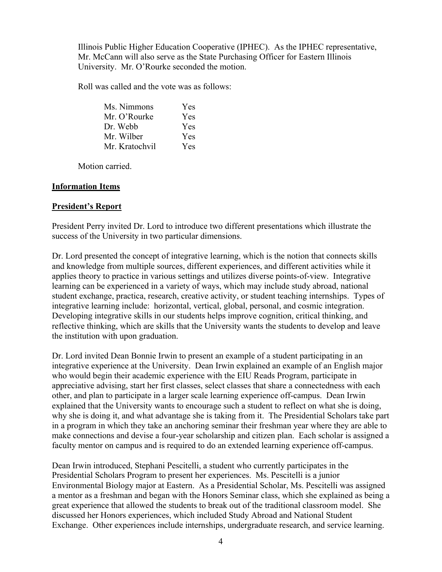Illinois Public Higher Education Cooperative (IPHEC). As the IPHEC representative, Mr. McCann will also serve as the State Purchasing Officer for Eastern Illinois University. Mr. O'Rourke seconded the motion.

Roll was called and the vote was as follows:

| Ms. Nimmons    | Yes |
|----------------|-----|
| Mr. O'Rourke   | Yes |
| Dr. Webb       | Yes |
| Mr. Wilber     | Yes |
| Mr. Kratochvil | Yes |

Motion carried.

## **Information Items**

# **President's Report**

President Perry invited Dr. Lord to introduce two different presentations which illustrate the success of the University in two particular dimensions.

Dr. Lord presented the concept of integrative learning, which is the notion that connects skills and knowledge from multiple sources, different experiences, and different activities while it applies theory to practice in various settings and utilizes diverse points-of-view. Integrative learning can be experienced in a variety of ways, which may include study abroad, national student exchange, practica, research, creative activity, or student teaching internships. Types of integrative learning include: horizontal, vertical, global, personal, and cosmic integration. Developing integrative skills in our students helps improve cognition, critical thinking, and reflective thinking, which are skills that the University wants the students to develop and leave the institution with upon graduation.

Dr. Lord invited Dean Bonnie Irwin to present an example of a student participating in an integrative experience at the University. Dean Irwin explained an example of an English major who would begin their academic experience with the EIU Reads Program, participate in appreciative advising, start her first classes, select classes that share a connectedness with each other, and plan to participate in a larger scale learning experience off-campus. Dean Irwin explained that the University wants to encourage such a student to reflect on what she is doing, why she is doing it, and what advantage she is taking from it. The Presidential Scholars take part in a program in which they take an anchoring seminar their freshman year where they are able to make connections and devise a four-year scholarship and citizen plan. Each scholar is assigned a faculty mentor on campus and is required to do an extended learning experience off-campus.

Dean Irwin introduced, Stephani Pescitelli, a student who currently participates in the Presidential Scholars Program to present her experiences. Ms. Pescitelli is a junior Environmental Biology major at Eastern. As a Presidential Scholar, Ms. Pescitelli was assigned a mentor as a freshman and began with the Honors Seminar class, which she explained as being a great experience that allowed the students to break out of the traditional classroom model. She discussed her Honors experiences, which included Study Abroad and National Student Exchange. Other experiences include internships, undergraduate research, and service learning.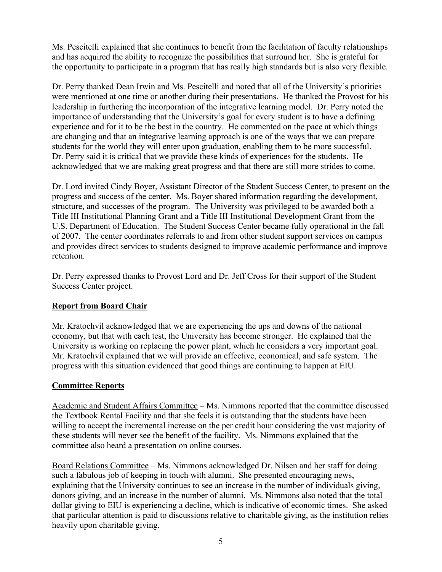Ms. Pescitelli explained that she continues to benefit from the facilitation of faculty relationships and has acquired the ability to recognize the possibilities that surround her. She is grateful for the opportunity to participate in a program that has really high standards but is also very flexible.

Dr. Perry thanked Dean Irwin and Ms. Pescitelli and noted that all of the University's priorities were mentioned at one time or another during their presentations. He thanked the Provost for his leadership in furthering the incorporation of the integrative learning model. Dr. Perry noted the importance of understanding that the University's goal for every student is to have a defining experience and for it to be the best in the country. He commented on the pace at which things are changing and that an integrative learning approach is one of the ways that we can prepare students for the world they will enter upon graduation, enabling them to be more successful. Dr. Perry said it is critical that we provide these kinds of experiences for the students. He acknowledged that we are making great progress and that there are still more strides to come.

Dr. Lord invited Cindy Boyer, Assistant Director of the Student Success Center, to present on the progress and success of the center. Ms. Boyer shared information regarding the development, structure, and successes of the program. The University was privileged to be awarded both a Title III Institutional Planning Grant and a Title III Institutional Development Grant from the U.S. Department of Education. The Student Success Center became fully operational in the fall of 2007. The center coordinates referrals to and from other student support services on campus and provides direct services to students designed to improve academic performance and improve retention.

Dr. Perry expressed thanks to Provost Lord and Dr. Jeff Cross for their support of the Student Success Center project.

# **Report from Board Chair**

Mr. Kratochvil acknowledged that we are experiencing the ups and downs of the national economy, but that with each test, the University has become stronger. He explained that the University is working on replacing the power plant, which he considers a very important goal. Mr. Kratochvil explained that we will provide an effective, economical, and safe system. The progress with this situation evidenced that good things are continuing to happen at EIU.

## **Committee Reports**

Academic and Student Affairs Committee – Ms. Nimmons reported that the committee discussed the Textbook Rental Facility and that she feels it is outstanding that the students have been willing to accept the incremental increase on the per credit hour considering the vast majority of these students will never see the benefit of the facility. Ms. Nimmons explained that the committee also heard a presentation on online courses.

Board Relations Committee – Ms. Nimmons acknowledged Dr. Nilsen and her staff for doing such a fabulous job of keeping in touch with alumni. She presented encouraging news, explaining that the University continues to see an increase in the number of individuals giving, donors giving, and an increase in the number of alumni. Ms. Nimmons also noted that the total dollar giving to EIU is experiencing a decline, which is indicative of economic times. She asked that particular attention is paid to discussions relative to charitable giving, as the institution relies heavily upon charitable giving.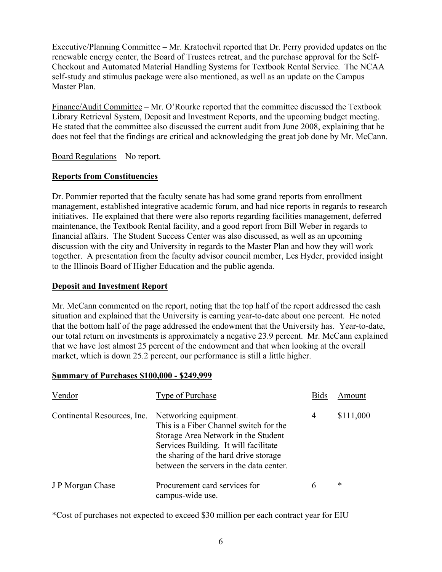Executive/Planning Committee – Mr. Kratochvil reported that Dr. Perry provided updates on the renewable energy center, the Board of Trustees retreat, and the purchase approval for the Self-Checkout and Automated Material Handling Systems for Textbook Rental Service. The NCAA self-study and stimulus package were also mentioned, as well as an update on the Campus Master Plan.

Finance/Audit Committee – Mr. O'Rourke reported that the committee discussed the Textbook Library Retrieval System, Deposit and Investment Reports, and the upcoming budget meeting. He stated that the committee also discussed the current audit from June 2008, explaining that he does not feel that the findings are critical and acknowledging the great job done by Mr. McCann.

Board Regulations – No report.

## **Reports from Constituencies**

Dr. Pommier reported that the faculty senate has had some grand reports from enrollment management, established integrative academic forum, and had nice reports in regards to research initiatives. He explained that there were also reports regarding facilities management, deferred maintenance, the Textbook Rental facility, and a good report from Bill Weber in regards to financial affairs. The Student Success Center was also discussed, as well as an upcoming discussion with the city and University in regards to the Master Plan and how they will work together. A presentation from the faculty advisor council member, Les Hyder, provided insight to the Illinois Board of Higher Education and the public agenda.

## **Deposit and Investment Report**

Mr. McCann commented on the report, noting that the top half of the report addressed the cash situation and explained that the University is earning year-to-date about one percent. He noted that the bottom half of the page addressed the endowment that the University has. Year-to-date, our total return on investments is approximately a negative 23.9 percent. Mr. McCann explained that we have lost almost 25 percent of the endowment and that when looking at the overall market, which is down 25.2 percent, our performance is still a little higher.

#### **Summary of Purchases \$100,000 - \$249,999**

| Vendor                      | Type of Purchase                                                                                                                                                                                                                    | <b>Bids</b> | Amount    |
|-----------------------------|-------------------------------------------------------------------------------------------------------------------------------------------------------------------------------------------------------------------------------------|-------------|-----------|
| Continental Resources, Inc. | Networking equipment.<br>This is a Fiber Channel switch for the<br>Storage Area Network in the Student<br>Services Building. It will facilitate<br>the sharing of the hard drive storage<br>between the servers in the data center. | 4           | \$111,000 |
| J P Morgan Chase            | Procurement card services for<br>campus-wide use.                                                                                                                                                                                   | 6           | *         |

\*Cost of purchases not expected to exceed \$30 million per each contract year for EIU